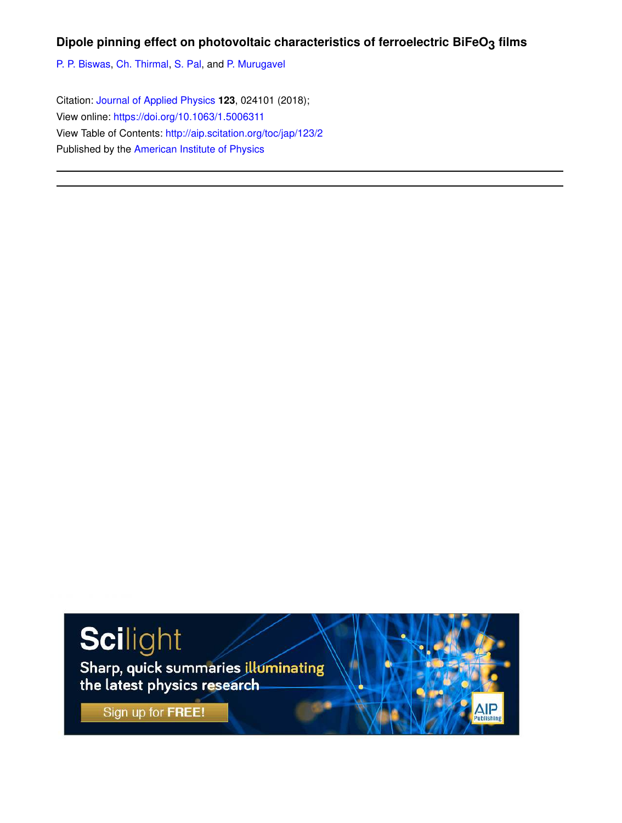# **Dipole pinning effect on photovoltaic characteristics of ferroelectric BiFeO3 films**

P. P. Biswas, Ch. Thirmal, S. Pal, and P. Murugavel

Citation: Journal of Applied Physics **123**, 024101 (2018); View online: https://doi.org/10.1063/1.5006311 View Table of Contents: http://aip.scitation.org/toc/jap/123/2 Published by the American Institute of Physics

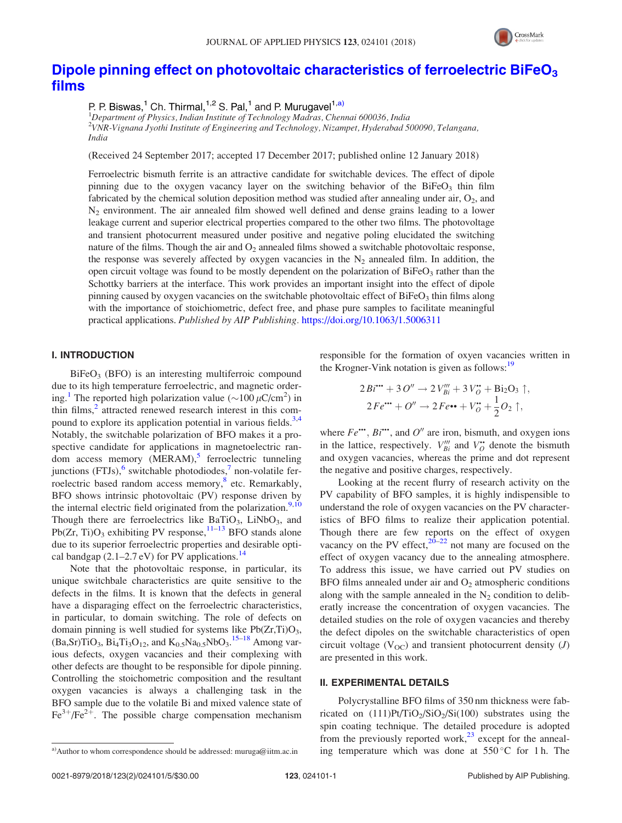

# Dipole pinning effect on photovoltaic characteristics of ferroelectric  $B$ iFeO<sub>3</sub> films

P. P. Biswas,<sup>1</sup> Ch. Thirmal,<sup>1,2</sup> S. Pal,<sup>1</sup> and P. Murugavel<sup>1,a)</sup>

<sup>1</sup>Department of Physics, Indian Institute of Technology Madras, Chennai 600036, India 2 VNR-Vignana Jyothi Institute of Engineering and Technology, Nizampet, Hyderabad 500090, Telangana, India

(Received 24 September 2017; accepted 17 December 2017; published online 12 January 2018)

Ferroelectric bismuth ferrite is an attractive candidate for switchable devices. The effect of dipole pinning due to the oxygen vacancy layer on the switching behavior of the  $Bifeo<sub>3</sub>$  thin film fabricated by the chemical solution deposition method was studied after annealing under air,  $O_2$ , and  $N_2$  environment. The air annealed film showed well defined and dense grains leading to a lower leakage current and superior electrical properties compared to the other two films. The photovoltage and transient photocurrent measured under positive and negative poling elucidated the switching nature of the films. Though the air and  $O_2$  annealed films showed a switchable photovoltaic response, the response was severely affected by oxygen vacancies in the  $N_2$  annealed film. In addition, the open circuit voltage was found to be mostly dependent on the polarization of  $BiFeO<sub>3</sub>$  rather than the Schottky barriers at the interface. This work provides an important insight into the effect of dipole pinning caused by oxygen vacancies on the switchable photovoltaic effect of BiFeO<sub>3</sub> thin films along with the importance of stoichiometric, defect free, and phase pure samples to facilitate meaningful practical applications. Published by AIP Publishing. https://doi.org/10.1063/1.5006311

## I. INTRODUCTION

 $BiFeO<sub>3</sub>$  (BFO) is an interesting multiferroic compound due to its high temperature ferroelectric, and magnetic ordering.<sup>1</sup> The reported high polarization value ( $\sim$ 100  $\mu$ C/cm<sup>2</sup>) in thin films,<sup>2</sup> attracted renewed research interest in this compound to explore its application potential in various fields.<sup>3,4</sup> Notably, the switchable polarization of BFO makes it a prospective candidate for applications in magnetoelectric random access memory (MERAM),<sup>5</sup> ferroelectric tunneling junctions (FTJs),<sup>6</sup> switchable photodiodes,<sup>7</sup> non-volatile ferroelectric based random access memory,<sup>8</sup> etc. Remarkably, BFO shows intrinsic photovoltaic (PV) response driven by the internal electric field originated from the polarization.<sup>9,10</sup> Though there are ferroelectrics like BaTiO<sub>3</sub>, LiNbO<sub>3</sub>, and Pb( $Zr$ , Ti) $O_3$  exhibiting PV response,  $11-13$  BFO stands alone due to its superior ferroelectric properties and desirable optical bandgap  $(2.1–2.7 \text{ eV})$  for PV applications.<sup>14</sup>

Note that the photovoltaic response, in particular, its unique switchbale characteristics are quite sensitive to the defects in the films. It is known that the defects in general have a disparaging effect on the ferroelectric characteristics, in particular, to domain switching. The role of defects on domain pinning is well studied for systems like  $Pb(Zr,Ti)O<sub>3</sub>$ ,  $(Ba, Sr) TiO<sub>3</sub>, Bi<sub>4</sub> Ti<sub>3</sub>O<sub>12</sub>, and K<sub>0.5</sub> Na<sub>0.5</sub>NbO<sub>3</sub>.<sup>15-18</sup> Among var$ ious defects, oxygen vacancies and their complexing with other defects are thought to be responsible for dipole pinning. Controlling the stoichometric composition and the resultant oxygen vacancies is always a challenging task in the BFO sample due to the volatile Bi and mixed valence state of  $Fe^{3+}/Fe^{2+}$ . The possible charge compensation mechanism responsible for the formation of oxyen vacancies written in the Krogner-Vink notation is given as follows:<sup>19</sup>

$$
2Bi^{\bullet\bullet} + 3O'' \rightarrow 2V'''_{Bi} + 3V^{\bullet}_{O} + Bi_{2}O_{3} \uparrow,
$$
  

$$
2Fe^{\bullet\bullet} + O'' \rightarrow 2Fe^{\bullet\bullet} + V^{\bullet}_{O} + \frac{1}{2}O_{2} \uparrow,
$$

where  $Fe^{\bullet\bullet}$ ,  $Bi^{\bullet\bullet}$ , and  $O^{\prime\prime}$  are iron, bismuth, and oxygen ions in the lattice, respectively.  $V'''_{Bi}$  and  $V^{\bullet}_{O}$  denote the bismuth and oxygen vacancies, whereas the prime and dot represent the negative and positive charges, respectively.

Looking at the recent flurry of research activity on the PV capability of BFO samples, it is highly indispensible to understand the role of oxygen vacancies on the PV characteristics of BFO films to realize their application potential. Though there are few reports on the effect of oxygen vacancy on the PV effect, $20-22$  not many are focused on the effect of oxygen vacancy due to the annealing atmosphere. To address this issue, we have carried out PV studies on BFO films annealed under air and  $O<sub>2</sub>$  atmospheric conditions along with the sample annealed in the  $N_2$  condition to deliberatly increase the concentration of oxygen vacancies. The detailed studies on the role of oxygen vacancies and thereby the defect dipoles on the switchable characteristics of open circuit voltage ( $V_{OC}$ ) and transient photocurrent density (*J*) are presented in this work.

#### II. EXPERIMENTAL DETAILS

Polycrystalline BFO films of 350 nm thickness were fabricated on  $(111)$ Pt/TiO<sub>2</sub>/SiO<sub>2</sub>/Si(100) substrates using the spin coating technique. The detailed procedure is adopted from the previously reported work,<sup>23</sup> except for the anneala)Author to whom correspondence should be addressed: muruga@iitm.ac.in ing temperature which was done at 550 °C for 1 h. The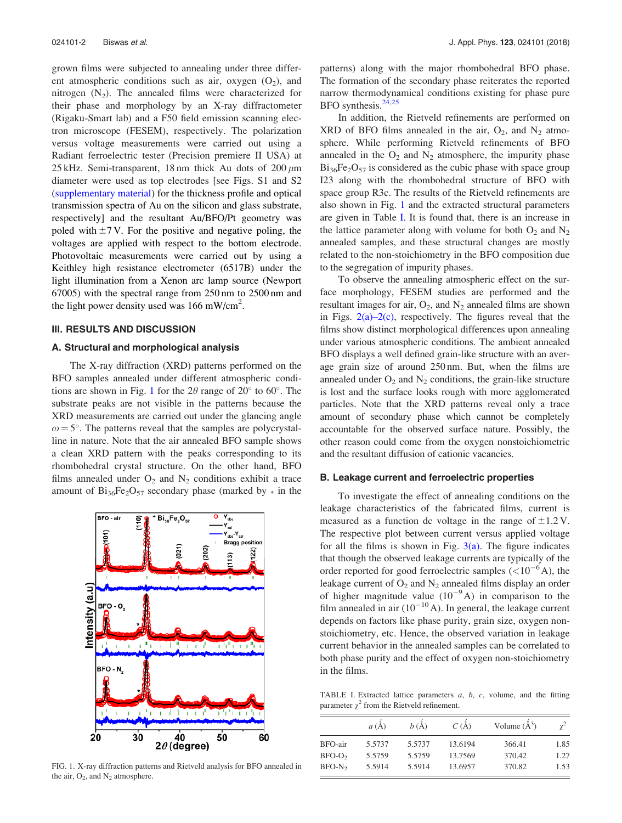grown films were subjected to annealing under three different atmospheric conditions such as air, oxygen  $(O_2)$ , and nitrogen  $(N_2)$ . The annealed films were characterized for their phase and morphology by an X-ray diffractometer (Rigaku-Smart lab) and a F50 field emission scanning electron microscope (FESEM), respectively. The polarization versus voltage measurements were carried out using a Radiant ferroelectric tester (Precision premiere II USA) at 25 kHz. Semi-transparent, 18 nm thick Au dots of  $200 \mu m$ diameter were used as top electrodes [see Figs. S1 and S2 (supplementary material) for the thickness profile and optical transmission spectra of Au on the silicon and glass substrate, respectively] and the resultant Au/BFO/Pt geometry was poled with  $\pm$ 7 V. For the positive and negative poling, the voltages are applied with respect to the bottom electrode. Photovoltaic measurements were carried out by using a Keithley high resistance electrometer (6517B) under the light illumination from a Xenon arc lamp source (Newport 67005) with the spectral range from 250 nm to 2500 nm and the light power density used was  $166$  mW/cm<sup>2</sup>.

### III. RESULTS AND DISCUSSION

## A. Structural and morphological analysis

The X-ray diffraction (XRD) patterns performed on the BFO samples annealed under different atmospheric conditions are shown in Fig. 1 for the  $2\theta$  range of  $20^{\circ}$  to  $60^{\circ}$ . The substrate peaks are not visible in the patterns because the XRD measurements are carried out under the glancing angle  $\omega = 5^{\circ}$ . The patterns reveal that the samples are polycrystalline in nature. Note that the air annealed BFO sample shows a clean XRD pattern with the peaks corresponding to its rhombohedral crystal structure. On the other hand, BFO films annealed under  $O_2$  and  $N_2$  conditions exhibit a trace amount of  $Bi_{36}Fe_2O_{57}$  secondary phase (marked by  $*$  in the



FIG. 1. X-ray diffraction patterns and Rietveld analysis for BFO annealed in the air,  $O_2$ , and  $N_2$  atmosphere.

patterns) along with the major rhombohedral BFO phase. The formation of the secondary phase reiterates the reported narrow thermodynamical conditions existing for phase pure BFO synthesis.<sup>24,25</sup>

In addition, the Rietveld refinements are performed on  $XRD$  of BFO films annealed in the air,  $O_2$ , and  $N_2$  atmosphere. While performing Rietveld refinements of BFO annealed in the  $O_2$  and  $N_2$  atmosphere, the impurity phase  $Bi_{36}Fe_{2}O_{57}$  is considered as the cubic phase with space group I23 along with the rhombohedral structure of BFO with space group R3c. The results of the Rietveld refinements are also shown in Fig. 1 and the extracted structural parameters are given in Table I. It is found that, there is an increase in the lattice parameter along with volume for both  $O_2$  and  $N_2$ annealed samples, and these structural changes are mostly related to the non-stoichiometry in the BFO composition due to the segregation of impurity phases.

To observe the annealing atmospheric effect on the surface morphology, FESEM studies are performed and the resultant images for air,  $O_2$ , and  $N_2$  annealed films are shown in Figs.  $2(a)-2(c)$ , respectively. The figures reveal that the films show distinct morphological differences upon annealing under various atmospheric conditions. The ambient annealed BFO displays a well defined grain-like structure with an average grain size of around 250 nm. But, when the films are annealed under  $O_2$  and  $N_2$  conditions, the grain-like structure is lost and the surface looks rough with more agglomerated particles. Note that the XRD patterns reveal only a trace amount of secondary phase which cannot be completely accountable for the observed surface nature. Possibly, the other reason could come from the oxygen nonstoichiometric and the resultant diffusion of cationic vacancies.

#### B. Leakage current and ferroelectric properties

To investigate the effect of annealing conditions on the leakage characteristics of the fabricated films, current is measured as a function dc voltage in the range of  $\pm 1.2$  V. The respective plot between current versus applied voltage for all the films is shown in Fig.  $3(a)$ . The figure indicates that though the observed leakage currents are typically of the order reported for good ferroelectric samples  $(<10^{-6}A)$ , the leakage current of  $O_2$  and  $N_2$  annealed films display an order of higher magnitude value  $(10^{-9}A)$  in comparison to the film annealed in air  $(10^{-10}A)$ . In general, the leakage current depends on factors like phase purity, grain size, oxygen nonstoichiometry, etc. Hence, the observed variation in leakage current behavior in the annealed samples can be correlated to both phase purity and the effect of oxygen non-stoichiometry in the films.

TABLE I. Extracted lattice parameters  $a$ ,  $b$ ,  $c$ , volume, and the fitting parameter  $\chi^2$  from the Rietveld refinement.

|                    | a(A)   | b(A)   | C(A)    | Volume $(\AA^3)$ | $\sqrt{2}$ |
|--------------------|--------|--------|---------|------------------|------------|
| BFO-air            | 5.5737 | 5.5737 | 13.6194 | 366.41           | 1.85       |
| BFO-O <sub>2</sub> | 5.5759 | 5.5759 | 13.7569 | 370.42           | 1.27       |
| BFO-N <sub>2</sub> | 5.5914 | 5.5914 | 13.6957 | 370.82           | 1.53       |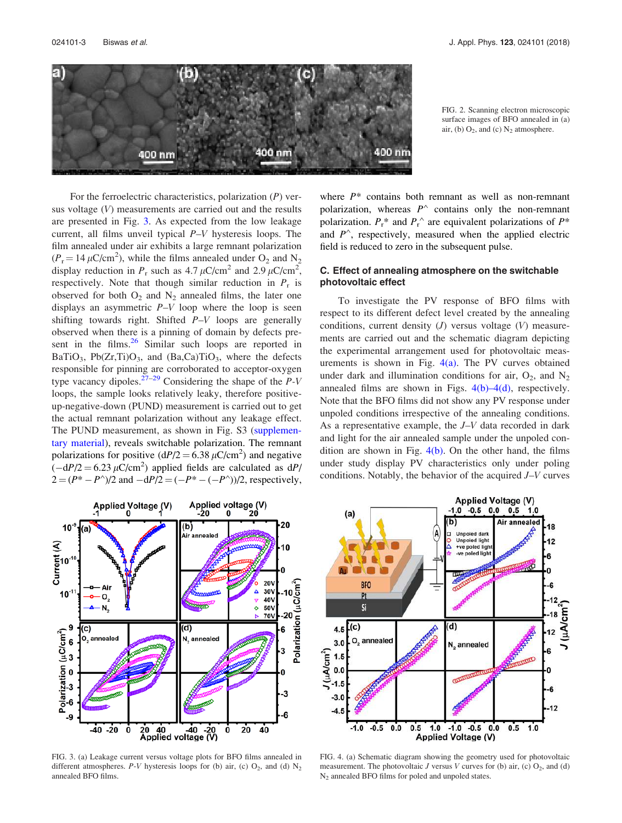

FIG. 2. Scanning electron microscopic surface images of BFO annealed in (a) air, (b)  $O_2$ , and (c)  $N_2$  atmosphere.

For the ferroelectric characteristics, polarization  $(P)$  versus voltage (V) measurements are carried out and the results are presented in Fig. 3. As expected from the low leakage current, all films unveil typical P–V hysteresis loops. The film annealed under air exhibits a large remnant polarization  $(P_r = 14 \,\mu\text{C/cm}^2)$ , while the films annealed under O<sub>2</sub> and N<sub>2</sub> display reduction in  $P_r$  such as 4.7  $\mu$ C/cm<sup>2</sup> and 2.9  $\mu$ C/cm<sup>2</sup>, respectively. Note that though similar reduction in  $P_r$  is observed for both  $O_2$  and  $N_2$  annealed films, the later one displays an asymmetric  $P-V$  loop where the loop is seen shifting towards right. Shifted  $P-V$  loops are generally observed when there is a pinning of domain by defects present in the films. $26$  Similar such loops are reported in BaTiO<sub>3</sub>, Pb(Zr,Ti)O<sub>3</sub>, and (Ba,Ca)TiO<sub>3</sub>, where the defects responsible for pinning are corroborated to acceptor-oxygen type vacancy dipoles.<sup>27–29</sup> Considering the shape of the  $P-V$ loops, the sample looks relatively leaky, therefore positiveup-negative-down (PUND) measurement is carried out to get the actual remnant polarization without any leakage effect. The PUND measurement, as shown in Fig. S3 (supplementary material), reveals switchable polarization. The remnant polarizations for positive  $(dP/2 = 6.38 \,\mu\text{C/cm}^2)$  and negative  $\left(-\frac{dP}{2} = 6.23 \,\mu\text{C/cm}^2\right)$  applied fields are calculated as  $\frac{dP}{dt}$  $2 = (P^* - P^*)/2$  and  $-dP/2 = (-P^* - (-P^*))/2$ , respectively,

where  $P^*$  contains both remnant as well as non-remnant polarization, whereas  $P^{\wedge}$  contains only the non-remnant polarization.  $P_{r}^{*}$  and  $P_{r}^{\wedge}$  are equivalent polarizations of  $P^{*}$ and  $P^{\wedge}$ , respectively, measured when the applied electric field is reduced to zero in the subsequent pulse.

## C. Effect of annealing atmosphere on the switchable photovoltaic effect

To investigate the PV response of BFO films with respect to its different defect level created by the annealing conditions, current density  $(J)$  versus voltage  $(V)$  measurements are carried out and the schematic diagram depicting the experimental arrangement used for photovoltaic measurements is shown in Fig.  $4(a)$ . The PV curves obtained under dark and illumination conditions for air,  $O_2$ , and  $N_2$ annealed films are shown in Figs.  $4(b) - 4(d)$ , respectively. Note that the BFO films did not show any PV response under unpoled conditions irrespective of the annealing conditions. As a representative example, the J–V data recorded in dark and light for the air annealed sample under the unpoled condition are shown in Fig.  $4(b)$ . On the other hand, the films under study display PV characteristics only under poling conditions. Notably, the behavior of the acquired J–V curves



FIG. 3. (a) Leakage current versus voltage plots for BFO films annealed in different atmospheres.  $P-V$  hysteresis loops for (b) air, (c)  $O_2$ , and (d)  $N_2$ annealed BFO films.



FIG. 4. (a) Schematic diagram showing the geometry used for photovoltaic measurement. The photovoltaic  $J$  versus  $V$  curves for (b) air, (c)  $O_2$ , and (d) N<sup>2</sup> annealed BFO films for poled and unpoled states.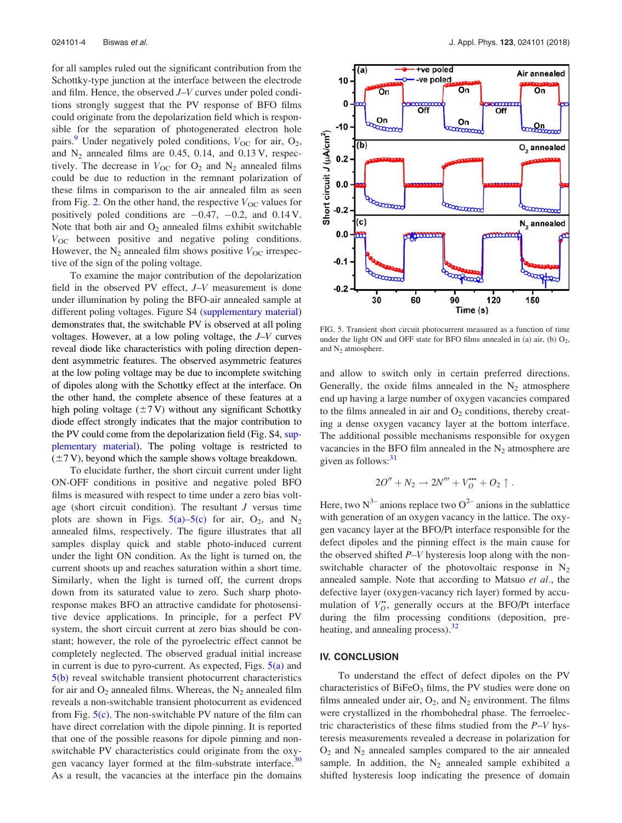for all samples ruled out the significant contribution from the Schottky-type junction at the interface between the electrode and film. Hence, the observed J–V curves under poled conditions strongly suggest that the PV response of BFO films could originate from the depolarization field which is responsible for the separation of photogenerated electron hole pairs.<sup>9</sup> Under negatively poled conditions,  $V_{OC}$  for air,  $O_2$ , and  $N_2$  annealed films are 0.45, 0.14, and 0.13 V, respectively. The decrease in  $V_{\text{OC}}$  for  $O_2$  and  $N_2$  annealed films could be due to reduction in the remnant polarization of these films in comparison to the air annealed film as seen from Fig. 2. On the other hand, the respective  $V_{\text{OC}}$  values for positively poled conditions are  $-0.47$ ,  $-0.2$ , and 0.14 V. Note that both air and  $O_2$  annealed films exhibit switchable  $V_{OC}$  between positive and negative poling conditions. However, the  $N_2$  annealed film shows positive  $V_{OC}$  irrespective of the sign of the poling voltage.

To examine the major contribution of the depolarization field in the observed PV effect, J–V measurement is done under illumination by poling the BFO-air annealed sample at different poling voltages. Figure S4 (supplementary material) demonstrates that, the switchable PV is observed at all poling voltages. However, at a low poling voltage, the J–V curves reveal diode like characteristics with poling direction dependent asymmetric features. The observed asymmetric features at the low poling voltage may be due to incomplete switching of dipoles along with the Schottky effect at the interface. On the other hand, the complete absence of these features at a high poling voltage  $(\pm 7 \text{ V})$  without any significant Schottky diode effect strongly indicates that the major contribution to the PV could come from the depolarization field (Fig. S4, supplementary material). The poling voltage is restricted to  $(\pm 7 \text{ V})$ , beyond which the sample shows voltage breakdown.

To elucidate further, the short circuit current under light ON-OFF conditions in positive and negative poled BFO films is measured with respect to time under a zero bias voltage (short circuit condition). The resultant  $J$  versus time plots are shown in Figs.  $5(a)$ -5(c) for air, O<sub>2</sub>, and N<sub>2</sub> annealed films, respectively. The figure illustrates that all samples display quick and stable photo-induced current under the light ON condition. As the light is turned on, the current shoots up and reaches saturation within a short time. Similarly, when the light is turned off, the current drops down from its saturated value to zero. Such sharp photoresponse makes BFO an attractive candidate for photosensitive device applications. In principle, for a perfect PV system, the short circuit current at zero bias should be constant; however, the role of the pyroelectric effect cannot be completely neglected. The observed gradual initial increase in current is due to pyro-current. As expected, Figs.  $5(a)$  and 5(b) reveal switchable transient photocurrent characteristics for air and  $O_2$  annealed films. Whereas, the  $N_2$  annealed film reveals a non-switchable transient photocurrent as evidenced from Fig.  $5(c)$ . The non-switchable PV nature of the film can have direct correlation with the dipole pinning. It is reported that one of the possible reasons for dipole pinning and nonswitchable PV characteristics could originate from the oxygen vacancy layer formed at the film-substrate interface.<sup>30</sup> As a result, the vacancies at the interface pin the domains



FIG. 5. Transient short circuit photocurrent measured as a function of time under the light ON and OFF state for BFO films annealed in (a) air, (b)  $O_2$ , and N<sub>2</sub> atmosphere.

and allow to switch only in certain preferred directions. Generally, the oxide films annealed in the  $N_2$  atmosphere end up having a large number of oxygen vacancies compared to the films annealed in air and  $O_2$  conditions, thereby creating a dense oxygen vacancy layer at the bottom interface. The additional possible mechanisms responsible for oxygen vacancies in the BFO film annealed in the  $N_2$  atmosphere are given as follows: $31$ 

$$
2O'' + N_2 \rightarrow 2N''' + V_O^{\bullet \bullet} + O_2 \uparrow.
$$

Here, two  $N^{3-}$  anions replace two  $O^{2-}$  anions in the sublattice with generation of an oxygen vacancy in the lattice. The oxygen vacancy layer at the BFO/Pt interface responsible for the defect dipoles and the pinning effect is the main cause for the observed shifted P–V hysteresis loop along with the nonswitchable character of the photovoltaic response in  $N_2$ annealed sample. Note that according to Matsuo et al., the defective layer (oxygen-vacancy rich layer) formed by accumulation of  $V_O^{\bullet\bullet}$ , generally occurs at the BFO/Pt interface during the film processing conditions (deposition, preheating, and annealing process).<sup>32</sup>

# IV. CONCLUSION

To understand the effect of defect dipoles on the PV characteristics of  $BiFeO<sub>3</sub>$  films, the PV studies were done on films annealed under air,  $O_2$ , and  $N_2$  environment. The films were crystallized in the rhombohedral phase. The ferroelectric characteristics of these films studied from the  $P-V$  hysteresis measurements revealed a decrease in polarization for  $O_2$  and  $N_2$  annealed samples compared to the air annealed sample. In addition, the  $N_2$  annealed sample exhibited a shifted hysteresis loop indicating the presence of domain